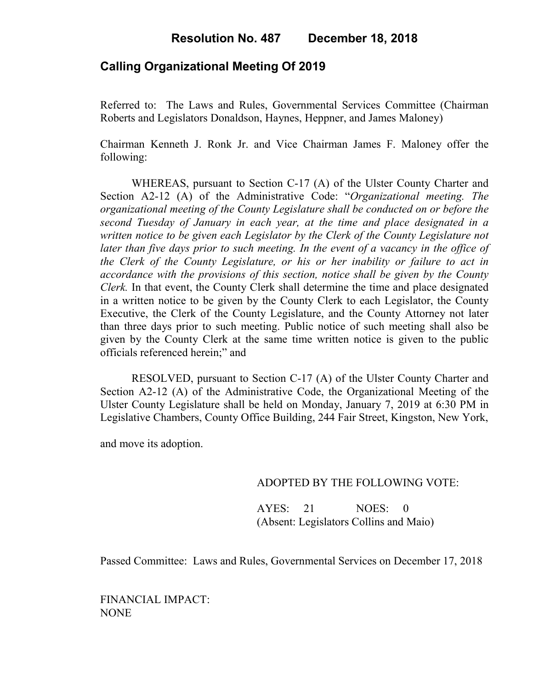## **Calling Organizational Meeting Of 2019**

Referred to: The Laws and Rules, Governmental Services Committee (Chairman Roberts and Legislators Donaldson, Haynes, Heppner, and James Maloney)

Chairman Kenneth J. Ronk Jr. and Vice Chairman James F. Maloney offer the following:

WHEREAS, pursuant to Section C-17 (A) of the Ulster County Charter and Section A2-12 (A) of the Administrative Code: "*Organizational meeting. The organizational meeting of the County Legislature shall be conducted on or before the second Tuesday of January in each year, at the time and place designated in a written notice to be given each Legislator by the Clerk of the County Legislature not later than five days prior to such meeting. In the event of a vacancy in the office of the Clerk of the County Legislature, or his or her inability or failure to act in accordance with the provisions of this section, notice shall be given by the County Clerk.* In that event, the County Clerk shall determine the time and place designated in a written notice to be given by the County Clerk to each Legislator, the County Executive, the Clerk of the County Legislature, and the County Attorney not later than three days prior to such meeting. Public notice of such meeting shall also be given by the County Clerk at the same time written notice is given to the public officials referenced herein;" and

RESOLVED, pursuant to Section C-17 (A) of the Ulster County Charter and Section A2-12 (A) of the Administrative Code, the Organizational Meeting of the Ulster County Legislature shall be held on Monday, January 7, 2019 at 6:30 PM in Legislative Chambers, County Office Building, 244 Fair Street, Kingston, New York,

and move its adoption.

### ADOPTED BY THE FOLLOWING VOTE:

AYES: 21 NOES: 0 (Absent: Legislators Collins and Maio)

Passed Committee: Laws and Rules, Governmental Services on December 17, 2018

FINANCIAL IMPACT: NONE